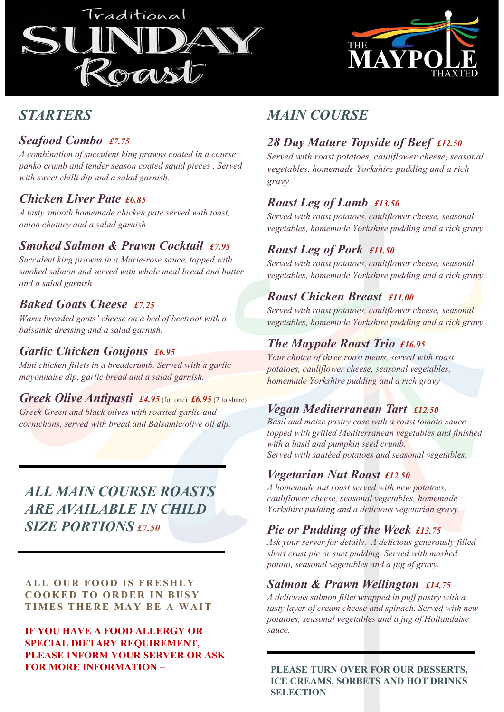



# **STARTERS**

#### Seafood Combo £7.75

A combination of succulent king prawns coated in a course panko crumb and tender season coated squid pieces . Served with sweet chilli dip and a salad garnish.

#### Chicken Liver Pate £6.85

A tasty smooth homemade chicken pate served with toast, onion chutney and a salad garnish

## Smoked Salmon & Prawn Cocktail £7.95

Succulent king prawns in a Marie-rose sauce, topped with smoked salmon and served with whole meal bread and butter and a salad garnish

#### Baked Goats Cheese £7.25

Warm breaded goats' cheese on a bed of beetroot with a balsamic dressing and a salad garnish.

#### Garlic Chicken Goujons £6.95

Mini chicken fillets in a breadcrumb. Served with a garlic mayonnaise dip, garlic bread and a salad garnish.

**Greek Olive Antipasti** £4.95 (for one)  $\text{\textsterling}6.95$  (2 to share) Greek Green and black olives with roasted garlic and cornichons, served with bread and Balsamic/olive oil dip.

# ALL MAIN COURSE ROASTS ARE AVAILABLE IN CHILD SIZE PORTIONS £7.50 Free pair and the particles in the point of the set publishes and the particles and the particle particles and  $\theta$  and  $\theta$  and  $\theta$  is the cross of  $\theta$  and  $\theta$  is the cross of  $\theta$  and  $\theta$  is the cross of  $\theta$  and  $\$ And the Matter of the Mediterraneal Series Cores and black of the Matter of the Matter of Consideration of the Mediterraneal Tart 122.50<br>
Since the Consider and Black of the state of Since and Black and Black of the state **EXERCUSE AND SERVIE AND ANDERS AND AND SURFACE AND SURFACE IN A YOUT SERVER OR ASK SURFACE IN THE RAY RELATED SURFACE IN A VALUATION SETS A delicious canonic vegetables and pairs and seasonal vegetables and finishes with**

IF YOU HAVE A FOOD ALLERGY OR SPECIAL DIETARY REQUIREMENT, PLEASE INFORM YOUR SERVER OR ASK FOR MORE INFORMATION – PLEASE TURN OVER FOR OUR DESSERTS.

# MAIN COURSE

# 28 Day Mature Topside of Beef £12.50

Served with roast potatoes, cauliflower cheese, seasonal vegetables, homemade Yorkshire pudding and a rich gravy

## Roast Leg of Lamb £13.50

Served with roast potatoes, cauliflower cheese, seasonal vegetables, homemade Yorkshire pudding and a rich gravy

#### Roast Leg of Pork £11.50

Served with roast potatoes, cauliflower cheese, seasonal vegetables, homemade Yorkshire pudding and a rich gravy

#### Roast Chicken Breast £11.00

Served with roast potatoes, cauliflower cheese, seasonal vegetables, homemade Yorkshire pudding and a rich gravy

# The Maypole Roast Trio £16.95

Your choice of three roast meats, served with roast potatoes, cauliflower cheese, seasonal vegetables, homemade Yorkshire pudding and a rich gravy

#### Vegan Mediterranean Tart £12.50

Basil and maize pastry case with a roast tomato sauce topped with grilled Mediterranean vegetables and finished with a basil and pumpkin seed crumb. Served with sautéed potatoes and seasonal vegetables.

#### Vegetarian Nut Roast £12.50

A homemade nut roast served with new potatoes, cauliflower cheese, seasonal vegetables, homemade Yorkshire pudding and a delicious vegetarian gravy.

# Pie or Pudding of the Week £13.75

Ask your server for details. A delicious generously filled short crust pie or suet pudding. Served with mashed potato, seasonal vegetables and a jug of gravy.

#### Salmon & Prawn Wellington £14.75

A delicious salmon fillet wrapped in puff pastry with a tasty layer of cream cheese and spinach. Served with new potatoes, seasonal vegetables and a jug of Hollandaise sauce.

ICE CREAMS, SORBETS AND HOT DRINKS **SELECTION**